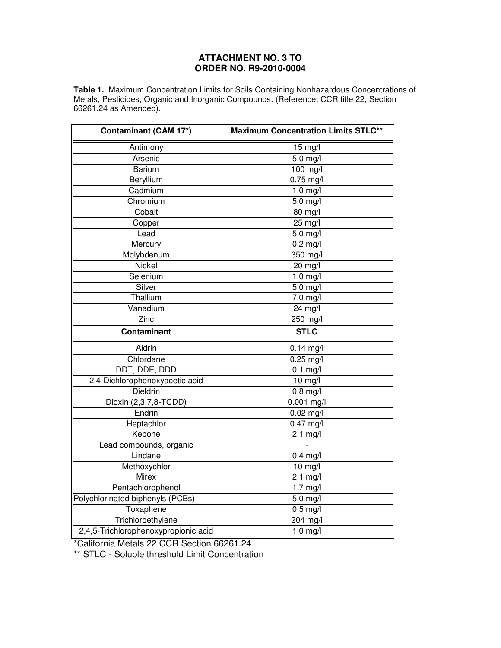## **ATTACHMENT NO. 3 TO ORDER NO. R9-2010-0004**

**Table 1.** Maximum Concentration Limits for Soils Containing Nonhazardous Concentrations of Metals, Pesticides, Organic and Inorganic Compounds. (Reference: CCR title 22, Section 66261.24 as Amended).

| <b>Contaminant (CAM 17*)</b>         | <b>Maximum Concentration Limits STLC**</b> |
|--------------------------------------|--------------------------------------------|
| Antimony                             | 15 mg/l                                    |
| Arsenic                              | 5.0 mg/l                                   |
| <b>Barium</b>                        | 100 mg/l                                   |
| Beryllium                            | $0.75$ mg/l                                |
| Cadmium                              | $1.0$ mg/l                                 |
| Chromium                             | $\overline{5.0}$ mg/l                      |
| Cobalt                               | 80 mg/l                                    |
| Copper                               | $25 \text{ mg/l}$                          |
| Lead                                 | $\overline{5.0}$ mg/l                      |
| Mercury                              | $\overline{0.2}$ mg/l                      |
| Molybdenum                           | 350 mg/l                                   |
| Nickel                               | 20 mg/l                                    |
| Selenium                             | $1.0$ mg/l                                 |
| Silver                               | $\overline{5.0}$ mg/l                      |
| Thallium                             | 7.0 mg/l                                   |
| Vanadium                             | 24 mg/l                                    |
| Zinc                                 | 250 mg/l                                   |
| <b>Contaminant</b>                   | <b>STLC</b>                                |
| Aldrin                               | $0.14$ mg/l                                |
| Chlordane                            | $0.25$ mg/l                                |
| DDT, DDE, DDD                        | $\overline{0.1}$ mg/l                      |
| 2,4-Dichlorophenoxyacetic acid       | $10 \text{ mg/l}$                          |
| Dieldrin                             | $0.8$ mg/l                                 |
| Dioxin (2,3,7,8-TCDD)                | 0.001 mg/l                                 |
| Endrin                               | $\overline{0.02}$ mg/l                     |
| Heptachlor                           | $0.47$ mg/l                                |
| Kepone                               | $2.1$ mg/l                                 |
| Lead compounds, organic              | $\overline{a}$                             |
| Lindane                              | $0.4$ mg/l                                 |
| Methoxychlor                         | 10 mg/l                                    |
| <b>Mirex</b>                         | $2.1 \text{ mg/l}$                         |
| Pentachlorophenol                    | $1.7 \text{ mg/l}$                         |
| Polychlorinated biphenyls (PCBs)     | 5.0 mg/l                                   |
| Toxaphene                            | $0.5 \text{ mg/l}$                         |
| Trichloroethylene                    | 204 mg/l                                   |
| 2,4,5-Trichlorophenoxypropionic acid | $1.0$ mg/l                                 |

\*California Metals 22 CCR Section 66261.24

\*\* STLC - Soluble threshold Limit Concentration